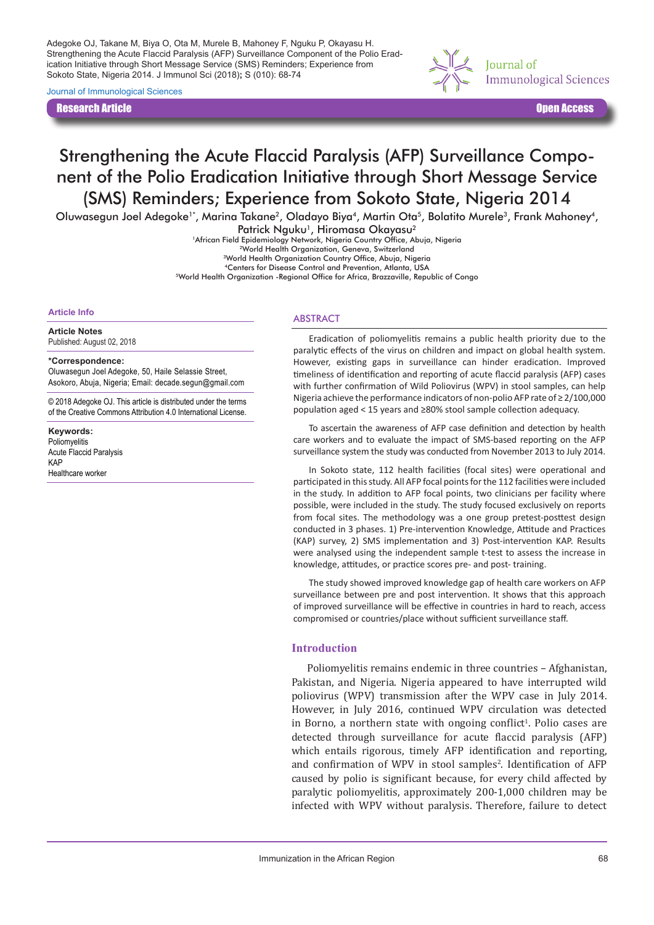Adegoke OJ, Takane M, Biya O, Ota M, Murele B, Mahoney F, Nguku P, Okayasu H. Strengthening the Acute Flaccid Paralysis (AFP) Surveillance Component of the Polio Eradication Initiative through Short Message Service (SMS) Reminders; Experience from Sokoto State, Nigeria 2014. J Immunol Sci (2018)**;** S (010): 68-74

Journal of Immunological Sciences

Research Article Open Access



# Strengthening the Acute Flaccid Paralysis (AFP) Surveillance Component of the Polio Eradication Initiative through Short Message Service (SMS) Reminders; Experience from Sokoto State, Nigeria 2014

Oluwasegun Joel Adegoke<sup>1\*</sup>, Marina Takane<sup>2</sup>, Oladayo Biya<sup>4</sup>, Martin Ota<sup>5</sup>, Bolatito Murele<sup>3</sup>, Frank Mahoney<sup>4</sup>,

Patrick Nguku<sup>1</sup>, Hiromasa Okayasu<sup>2</sup>

1African Field Epidemiology Network, Nigeria Country Office, Abuja, Nigeria 2World Health Organization, Geneva, Switzerland

3World Health Organization Country Office, Abuja, Nigeria

4Centers for Disease Control and Prevention, Atlanta, USA <sup>5</sup>World Health Organization -Regional Office for Africa, Brazzaville, Republic of Congo

#### **Article Info**

**Article Notes**

Published: August 02, 2018

#### **\*Correspondence:**

Oluwasegun Joel Adegoke, 50, Haile Selassie Street, Asokoro, Abuja, Nigeria; Email: decade.segun@gmail.com

© 2018 Adegoke OJ. This article is distributed under the terms of the Creative Commons Attribution 4.0 International License.

**Keywords:** Poliomyelitis Acute Flaccid Paralysis KAP Healthcare worker

#### ABSTRACT

Eradication of poliomyelitis remains a public health priority due to the paralytic effects of the virus on children and impact on global health system. However, existing gaps in surveillance can hinder eradication. Improved timeliness of identification and reporting of acute flaccid paralysis (AFP) cases with further confirmation of Wild Poliovirus (WPV) in stool samples, can help Nigeria achieve the performance indicators of non-polio AFP rate of ≥ 2/100,000 population aged < 15 years and ≥80% stool sample collection adequacy.

To ascertain the awareness of AFP case definition and detection by health care workers and to evaluate the impact of SMS-based reporting on the AFP surveillance system the study was conducted from November 2013 to July 2014.

In Sokoto state, 112 health facilities (focal sites) were operational and participated in this study. All AFP focal points for the 112 facilities were included in the study. In addition to AFP focal points, two clinicians per facility where possible, were included in the study. The study focused exclusively on reports from focal sites. The methodology was a one group pretest-posttest design conducted in 3 phases. 1) Pre-intervention Knowledge, Attitude and Practices (KAP) survey, 2) SMS implementation and 3) Post-intervention KAP. Results were analysed using the independent sample t-test to assess the increase in knowledge, attitudes, or practice scores pre- and post- training.

The study showed improved knowledge gap of health care workers on AFP surveillance between pre and post intervention. It shows that this approach of improved surveillance will be effective in countries in hard to reach, access compromised or countries/place without sufficient surveillance staff.

#### **Introduction**

Poliomyelitis remains endemic in three countries – Afghanistan, Pakistan, and Nigeria. Nigeria appeared to have interrupted wild poliovirus (WPV) transmission after the WPV case in July 2014. However, in July 2016, continued WPV circulation was detected in Borno, a northern state with ongoing conflict<sup>1</sup>. Polio cases are detected through surveillance for acute flaccid paralysis (AFP) which entails rigorous, timely AFP identification and reporting, and confirmation of WPV in stool samples<sup>2</sup>. Identification of AFP caused by polio is significant because, for every child affected by paralytic poliomyelitis, approximately 200-1,000 children may be infected with WPV without paralysis. Therefore, failure to detect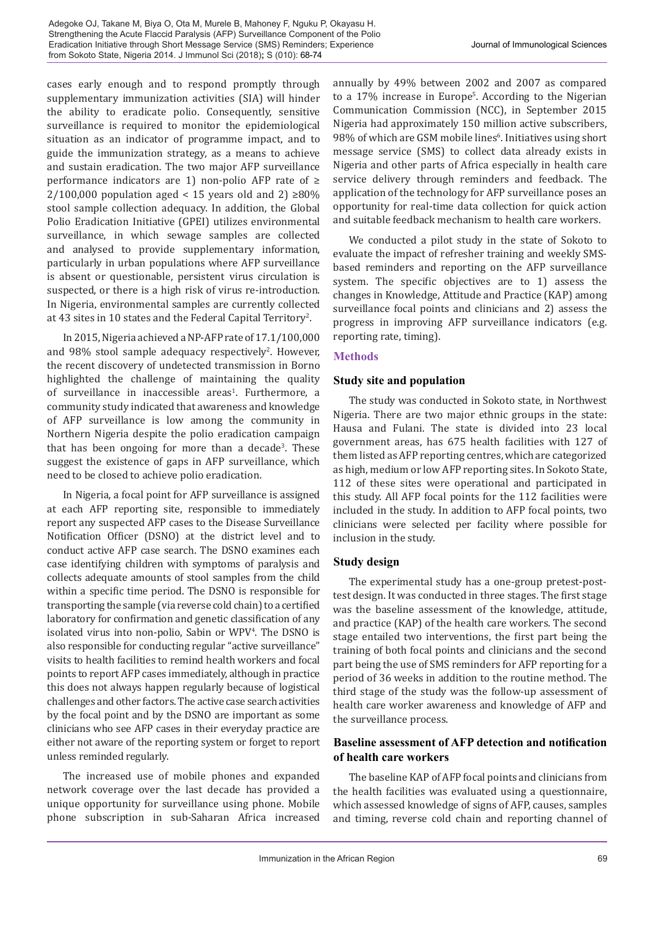cases early enough and to respond promptly through supplementary immunization activities (SIA) will hinder the ability to eradicate polio. Consequently, sensitive surveillance is required to monitor the epidemiological situation as an indicator of programme impact, and to guide the immunization strategy, as a means to achieve and sustain eradication. The two major AFP surveillance performance indicators are 1) non-polio AFP rate of ≥  $2/100,000$  population aged < 15 years old and 2) ≥80% stool sample collection adequacy. In addition, the Global Polio Eradication Initiative (GPEI) utilizes environmental surveillance, in which sewage samples are collected and analysed to provide supplementary information, particularly in urban populations where AFP surveillance is absent or questionable, persistent virus circulation is suspected, or there is a high risk of virus re-introduction. In Nigeria, environmental samples are currently collected at 43 sites in 10 states and the Federal Capital Territory<sup>2</sup>.

In 2015, Nigeria achieved a NP-AFP rate of 17.1/100,000 and  $98\%$  stool sample adequacy respectively<sup>2</sup>. However, the recent discovery of undetected transmission in Borno highlighted the challenge of maintaining the quality of surveillance in inaccessible areas<sup>1</sup>. Furthermore, a community study indicated that awareness and knowledge of AFP surveillance is low among the community in Northern Nigeria despite the polio eradication campaign that has been ongoing for more than a decade<sup>3</sup>. These suggest the existence of gaps in AFP surveillance, which need to be closed to achieve polio eradication.

In Nigeria, a focal point for AFP surveillance is assigned at each AFP reporting site, responsible to immediately report any suspected AFP cases to the Disease Surveillance Notification Officer (DSNO) at the district level and to conduct active AFP case search. The DSNO examines each case identifying children with symptoms of paralysis and collects adequate amounts of stool samples from the child within a specific time period. The DSNO is responsible for transporting the sample (via reverse cold chain) to a certified laboratory for confirmation and genetic classification of any isolated virus into non-polio, Sabin or WPV4 . The DSNO is also responsible for conducting regular "active surveillance" visits to health facilities to remind health workers and focal points to report AFP cases immediately, although in practice this does not always happen regularly because of logistical challenges and other factors. The active case search activities by the focal point and by the DSNO are important as some clinicians who see AFP cases in their everyday practice are either not aware of the reporting system or forget to report unless reminded regularly.

The increased use of mobile phones and expanded network coverage over the last decade has provided a unique opportunity for surveillance using phone. Mobile phone subscription in sub-Saharan Africa increased annually by 49% between 2002 and 2007 as compared to a 17% increase in Europe<sup>5</sup>. According to the Nigerian Communication Commission (NCC), in September 2015 Nigeria had approximately 150 million active subscribers, 98% of which are GSM mobile lines<sup>6</sup>. Initiatives using short message service (SMS) to collect data already exists in Nigeria and other parts of Africa especially in health care service delivery through reminders and feedback. The application of the technology for AFP surveillance poses an opportunity for real-time data collection for quick action and suitable feedback mechanism to health care workers.

We conducted a pilot study in the state of Sokoto to evaluate the impact of refresher training and weekly SMSbased reminders and reporting on the AFP surveillance system. The specific objectives are to 1) assess the changes in Knowledge, Attitude and Practice (KAP) among surveillance focal points and clinicians and 2) assess the progress in improving AFP surveillance indicators (e.g. reporting rate, timing).

# **Methods**

# **Study site and population**

The study was conducted in Sokoto state, in Northwest Nigeria. There are two major ethnic groups in the state: Hausa and Fulani. The state is divided into 23 local government areas, has 675 health facilities with 127 of them listed as AFP reporting centres, which are categorized as high, medium or low AFP reporting sites. In Sokoto State, 112 of these sites were operational and participated in this study. All AFP focal points for the 112 facilities were included in the study. In addition to AFP focal points, two clinicians were selected per facility where possible for inclusion in the study.

# **Study design**

The experimental study has a one-group pretest-posttest design. It was conducted in three stages. The first stage was the baseline assessment of the knowledge, attitude, and practice (KAP) of the health care workers. The second stage entailed two interventions, the first part being the training of both focal points and clinicians and the second part being the use of SMS reminders for AFP reporting for a period of 36 weeks in addition to the routine method. The third stage of the study was the follow-up assessment of health care worker awareness and knowledge of AFP and the surveillance process.

# **Baseline assessment of AFP detection and notification of health care workers**

The baseline KAP of AFP focal points and clinicians from the health facilities was evaluated using a questionnaire, which assessed knowledge of signs of AFP, causes, samples and timing, reverse cold chain and reporting channel of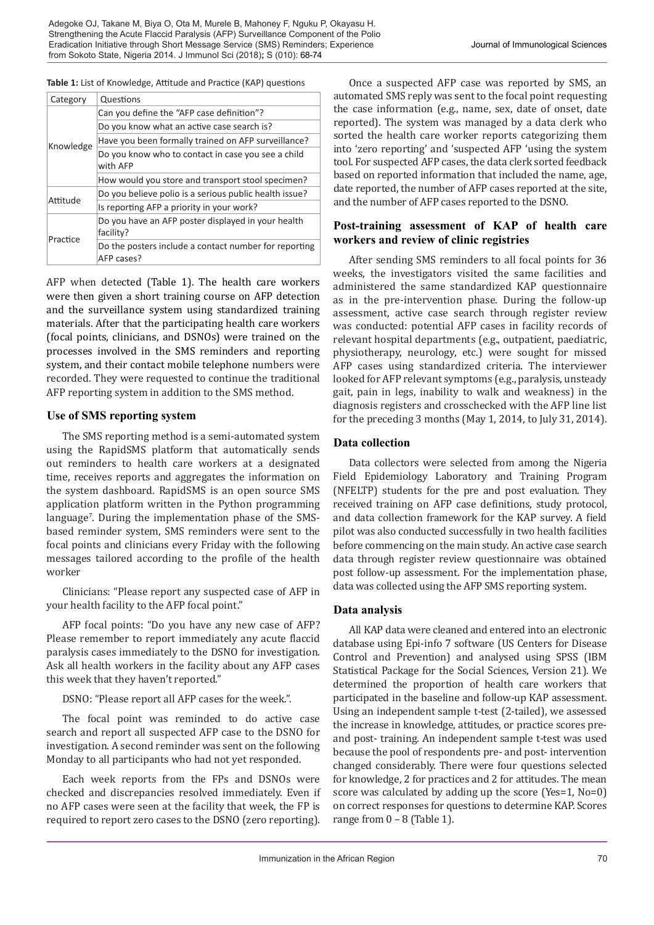#### **Table 1:** List of Knowledge, Attitude and Practice (KAP) questions

| Category  | Questions                                                           |  |  |
|-----------|---------------------------------------------------------------------|--|--|
| Knowledge | Can you define the "AFP case definition"?                           |  |  |
|           | Do you know what an active case search is?                          |  |  |
|           | Have you been formally trained on AFP surveillance?                 |  |  |
|           | Do you know who to contact in case you see a child<br>with AFP      |  |  |
|           | How would you store and transport stool specimen?                   |  |  |
| Attitude  | Do you believe polio is a serious public health issue?              |  |  |
|           | Is reporting AFP a priority in your work?                           |  |  |
| Practice  | Do you have an AFP poster displayed in your health<br>facility?     |  |  |
|           | Do the posters include a contact number for reporting<br>AFP cases? |  |  |

AFP when detected (Table 1). The health care workers were then given a short training course on AFP detection and the surveillance system using standardized training materials. After that the participating health care workers (focal points, clinicians, and DSNOs) were trained on the processes involved in the SMS reminders and reporting system, and their contact mobile telephone numbers were recorded. They were requested to continue the traditional AFP reporting system in addition to the SMS method.

# **Use of SMS reporting system**

The SMS reporting method is a semi-automated system using the RapidSMS platform that automatically sends out reminders to health care workers at a designated time, receives reports and aggregates the information on the system dashboard. RapidSMS is an open source SMS application platform written in the Python programming language<sup>7</sup> . During the implementation phase of the SMSbased reminder system, SMS reminders were sent to the focal points and clinicians every Friday with the following messages tailored according to the profile of the health worker

Clinicians: "Please report any suspected case of AFP in your health facility to the AFP focal point."

AFP focal points: "Do you have any new case of AFP? Please remember to report immediately any acute flaccid paralysis cases immediately to the DSNO for investigation. Ask all health workers in the facility about any AFP cases this week that they haven't reported."

DSNO: "Please report all AFP cases for the week.".

The focal point was reminded to do active case search and report all suspected AFP case to the DSNO for investigation. A second reminder was sent on the following Monday to all participants who had not yet responded.

Each week reports from the FPs and DSNOs were checked and discrepancies resolved immediately. Even if no AFP cases were seen at the facility that week, the FP is required to report zero cases to the DSNO (zero reporting).

Once a suspected AFP case was reported by SMS, an automated SMS reply was sent to the focal point requesting the case information (e.g., name, sex, date of onset, date reported). The system was managed by a data clerk who sorted the health care worker reports categorizing them into 'zero reporting' and 'suspected AFP 'using the system tool. For suspected AFP cases, the data clerk sorted feedback based on reported information that included the name, age, date reported, the number of AFP cases reported at the site, and the number of AFP cases reported to the DSNO.

# **Post-training assessment of KAP of health care workers and review of clinic registries**

After sending SMS reminders to all focal points for 36 weeks, the investigators visited the same facilities and administered the same standardized KAP questionnaire as in the pre-intervention phase. During the follow-up assessment, active case search through register review was conducted: potential AFP cases in facility records of relevant hospital departments (e.g., outpatient, paediatric, physiotherapy, neurology, etc.) were sought for missed AFP cases using standardized criteria. The interviewer looked for AFP relevant symptoms (e.g., paralysis, unsteady gait, pain in legs, inability to walk and weakness) in the diagnosis registers and crosschecked with the AFP line list for the preceding 3 months (May 1, 2014, to July 31, 2014).

# **Data collection**

Data collectors were selected from among the Nigeria Field Epidemiology Laboratory and Training Program (NFELTP) students for the pre and post evaluation. They received training on AFP case definitions, study protocol, and data collection framework for the KAP survey. A field pilot was also conducted successfully in two health facilities before commencing on the main study. An active case search data through register review questionnaire was obtained post follow-up assessment. For the implementation phase, data was collected using the AFP SMS reporting system.

# **Data analysis**

All KAP data were cleaned and entered into an electronic database using Epi-info 7 software (US Centers for Disease Control and Prevention) and analysed using SPSS (IBM Statistical Package for the Social Sciences, Version 21). We determined the proportion of health care workers that participated in the baseline and follow-up KAP assessment. Using an independent sample t-test (2-tailed), we assessed the increase in knowledge, attitudes, or practice scores preand post- training. An independent sample t-test was used because the pool of respondents pre- and post- intervention changed considerably. There were four questions selected for knowledge, 2 for practices and 2 for attitudes. The mean score was calculated by adding up the score (Yes=1, No=0) on correct responses for questions to determine KAP. Scores range from  $0 - 8$  (Table 1).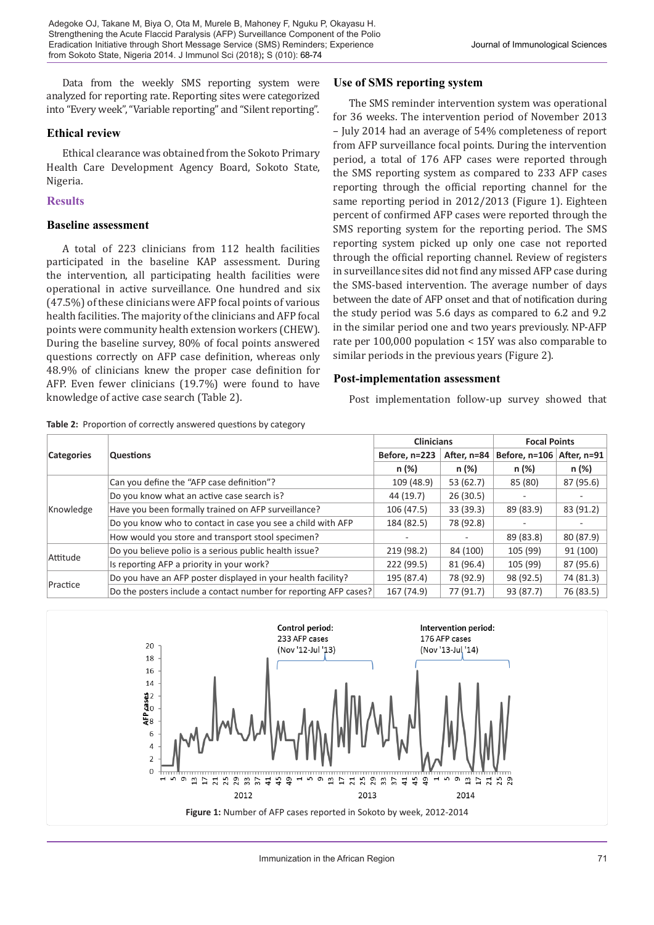Data from the weekly SMS reporting system were analyzed for reporting rate. Reporting sites were categorized into "Every week", "Variable reporting" and "Silent reporting".

# **Ethical review**

Ethical clearance was obtained from the Sokoto Primary Health Care Development Agency Board, Sokoto State, Nigeria.

#### **Results**

#### **Baseline assessment**

A total of 223 clinicians from 112 health facilities participated in the baseline KAP assessment. During the intervention, all participating health facilities were operational in active surveillance. One hundred and six (47.5%) of these clinicians were AFP focal points of various health facilities. The majority of the clinicians and AFP focal points were community health extension workers (CHEW). During the baseline survey, 80% of focal points answered questions correctly on AFP case definition, whereas only 48.9% of clinicians knew the proper case definition for AFP. Even fewer clinicians (19.7%) were found to have knowledge of active case search (Table 2).

|  |  | Table 2: Proportion of correctly answered questions by category |  |  |
|--|--|-----------------------------------------------------------------|--|--|
|--|--|-----------------------------------------------------------------|--|--|

# **Use of SMS reporting system**

The SMS reminder intervention system was operational for 36 weeks. The intervention period of November 2013 – July 2014 had an average of 54% completeness of report from AFP surveillance focal points. During the intervention period, a total of 176 AFP cases were reported through the SMS reporting system as compared to 233 AFP cases reporting through the official reporting channel for the same reporting period in 2012/2013 (Figure 1). Eighteen percent of confirmed AFP cases were reported through the SMS reporting system for the reporting period. The SMS reporting system picked up only one case not reported through the official reporting channel. Review of registers in surveillance sites did not find any missed AFP case during the SMS-based intervention. The average number of days between the date of AFP onset and that of notification during the study period was 5.6 days as compared to 6.2 and 9.2 in the similar period one and two years previously. NP-AFP rate per 100,000 population < 15Y was also comparable to similar periods in the previous years (Figure 2).

# **Post-implementation assessment**

Post implementation follow-up survey showed that

|                   |                                                                  | <b>Clinicians</b> |             | <b>Focal Points</b> |             |
|-------------------|------------------------------------------------------------------|-------------------|-------------|---------------------|-------------|
| <b>Categories</b> | <b>Questions</b>                                                 | Before, n=223     | After, n=84 | Before, n=106       | After, n=91 |
|                   |                                                                  | n (%)             | n (%)       | n (%)               | n (%)       |
| Knowledge         | Can you define the "AFP case definition"?                        | 109 (48.9)        | 53 (62.7)   | 85 (80)             | 87 (95.6)   |
|                   | Do you know what an active case search is?                       | 44 (19.7)         | 26(30.5)    |                     |             |
|                   | Have you been formally trained on AFP surveillance?              | 106 (47.5)        | 33(39.3)    | 89 (83.9)           | 83 (91.2)   |
|                   | Do you know who to contact in case you see a child with AFP      | 184 (82.5)        | 78 (92.8)   |                     |             |
|                   | How would you store and transport stool specimen?                |                   |             | 89 (83.8)           | 80 (87.9)   |
| Attitude          | Do you believe polio is a serious public health issue?           | 219 (98.2)        | 84 (100)    | 105 (99)            | 91 (100)    |
|                   | Is reporting AFP a priority in your work?                        | 222 (99.5)        | 81 (96.4)   | 105 (99)            | 87 (95.6)   |
|                   | Do you have an AFP poster displayed in your health facility?     | 195 (87.4)        | 78 (92.9)   | 98 (92.5)           | 74 (81.3)   |
| Practice          | Do the posters include a contact number for reporting AFP cases? | 167 (74.9)        | 77 (91.7)   | 93 (87.7)           | 76 (83.5)   |

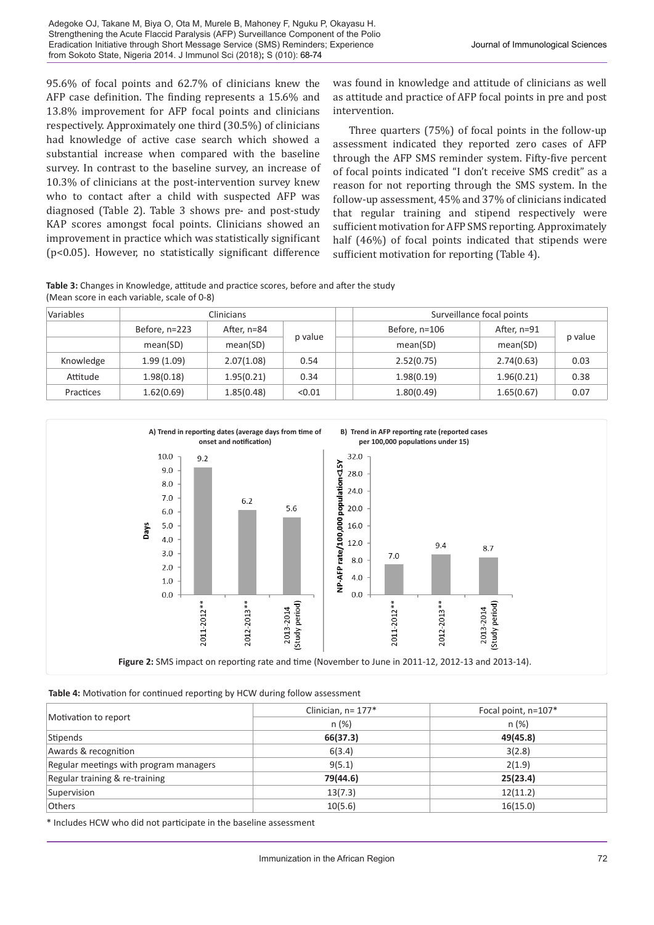95.6% of focal points and 62.7% of clinicians knew the AFP case definition. The finding represents a 15.6% and 13.8% improvement for AFP focal points and clinicians respectively. Approximately one third (30.5%) of clinicians had knowledge of active case search which showed a substantial increase when compared with the baseline survey. In contrast to the baseline survey, an increase of 10.3% of clinicians at the post-intervention survey knew who to contact after a child with suspected AFP was diagnosed (Table 2). Table 3 shows pre- and post-study KAP scores amongst focal points. Clinicians showed an improvement in practice which was statistically significant (p<0.05). However, no statistically significant difference

was found in knowledge and attitude of clinicians as well as attitude and practice of AFP focal points in pre and post intervention.

Three quarters (75%) of focal points in the follow-up assessment indicated they reported zero cases of AFP through the AFP SMS reminder system. Fifty-five percent of focal points indicated "I don't receive SMS credit" as a reason for not reporting through the SMS system. In the follow-up assessment, 45% and 37% of clinicians indicated that regular training and stipend respectively were sufficient motivation for AFP SMS reporting. Approximately half (46%) of focal points indicated that stipends were sufficient motivation for reporting (Table 4).

**Table 3:** Changes in Knowledge, attitude and practice scores, before and after the study (Mean score in each variable, scale of 0-8)

| Variables | <b>Clinicians</b> |             |         |               | Surveillance focal points |         |
|-----------|-------------------|-------------|---------|---------------|---------------------------|---------|
|           | Before, n=223     | After, n=84 | p value | Before, n=106 | After, n=91               |         |
|           | mean(SD)          | mean(SD)    |         | mean(SD)      | mean(SD)                  | p value |
| Knowledge | 1.99(1.09)        | 2.07(1.08)  | 0.54    | 2.52(0.75)    | 2.74(0.63)                | 0.03    |
| Attitude  | 1.98(0.18)        | 1.95(0.21)  | 0.34    | 1.98(0.19)    | 1.96(0.21)                | 0.38    |
| Practices | 1.62(0.69)        | 1.85(0.48)  | < 0.01  | 1.80(0.49)    | 1.65(0.67)                | 0.07    |



#### **Table 4:** Motivation for continued reporting by HCW during follow assessment

|                                        | Clinician, n= 177* | Focal point, n=107* |
|----------------------------------------|--------------------|---------------------|
| Motivation to report                   | n(%)               | n (%)               |
| Stipends                               | 66(37.3)           | 49(45.8)            |
| Awards & recognition                   | 6(3.4)             | 3(2.8)              |
| Regular meetings with program managers | 9(5.1)             | 2(1.9)              |
| Regular training & re-training         | 79(44.6)           | 25(23.4)            |
| Supervision                            | 13(7.3)            | 12(11.2)            |
| <b>Others</b>                          | 10(5.6)            | 16(15.0)            |

\* Includes HCW who did not participate in the baseline assessment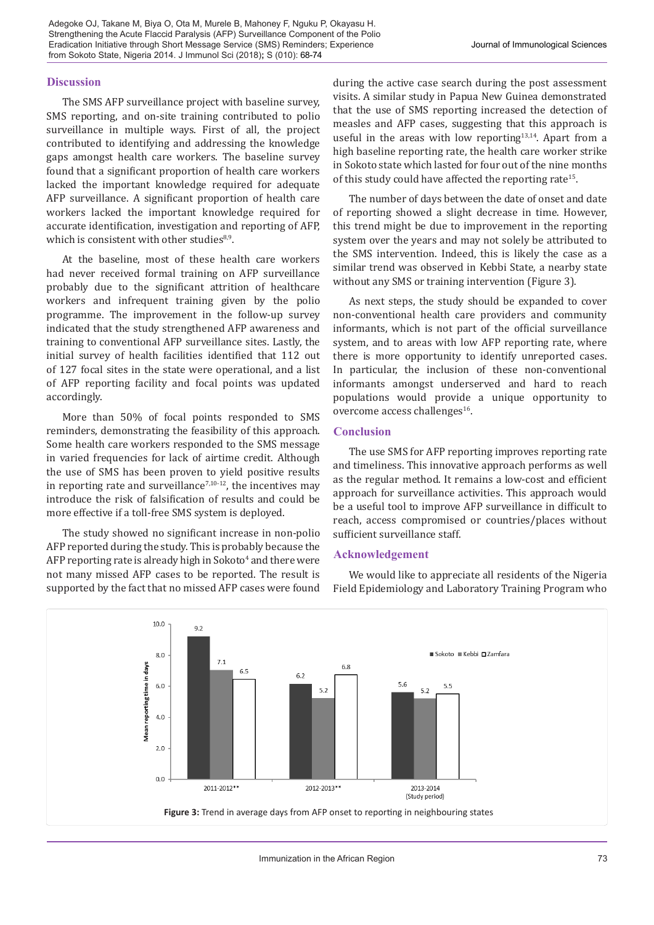#### **Discussion**

The SMS AFP surveillance project with baseline survey, SMS reporting, and on-site training contributed to polio surveillance in multiple ways. First of all, the project contributed to identifying and addressing the knowledge gaps amongst health care workers. The baseline survey found that a significant proportion of health care workers lacked the important knowledge required for adequate AFP surveillance. A significant proportion of health care workers lacked the important knowledge required for accurate identification, investigation and reporting of AFP, which is consistent with other studies $8,9$ .

At the baseline, most of these health care workers had never received formal training on AFP surveillance probably due to the significant attrition of healthcare workers and infrequent training given by the polio programme. The improvement in the follow-up survey indicated that the study strengthened AFP awareness and training to conventional AFP surveillance sites. Lastly, the initial survey of health facilities identified that 112 out of 127 focal sites in the state were operational, and a list of AFP reporting facility and focal points was updated accordingly.

More than 50% of focal points responded to SMS reminders, demonstrating the feasibility of this approach. Some health care workers responded to the SMS message in varied frequencies for lack of airtime credit. Although the use of SMS has been proven to yield positive results in reporting rate and surveillance<sup> $7,10-12$ </sup>, the incentives may introduce the risk of falsification of results and could be more effective if a toll-free SMS system is deployed.

The study showed no significant increase in non-polio AFP reported during the study. This is probably because the AFP reporting rate is already high in Sokoto<sup>4</sup> and there were not many missed AFP cases to be reported. The result is supported by the fact that no missed AFP cases were found

during the active case search during the post assessment visits. A similar study in Papua New Guinea demonstrated that the use of SMS reporting increased the detection of measles and AFP cases, suggesting that this approach is useful in the areas with low reporting<sup>13,14</sup>. Apart from a high baseline reporting rate, the health care worker strike in Sokoto state which lasted for four out of the nine months of this study could have affected the reporting rate<sup>15</sup>.

The number of days between the date of onset and date of reporting showed a slight decrease in time. However, this trend might be due to improvement in the reporting system over the years and may not solely be attributed to the SMS intervention. Indeed, this is likely the case as a similar trend was observed in Kebbi State, a nearby state without any SMS or training intervention (Figure 3).

As next steps, the study should be expanded to cover non-conventional health care providers and community informants, which is not part of the official surveillance system, and to areas with low AFP reporting rate, where there is more opportunity to identify unreported cases. In particular, the inclusion of these non-conventional informants amongst underserved and hard to reach populations would provide a unique opportunity to overcome access challenges<sup>16</sup>.

#### **Conclusion**

The use SMS for AFP reporting improves reporting rate and timeliness. This innovative approach performs as well as the regular method. It remains a low-cost and efficient approach for surveillance activities. This approach would be a useful tool to improve AFP surveillance in difficult to reach, access compromised or countries/places without sufficient surveillance staff.

#### **Acknowledgement**

We would like to appreciate all residents of the Nigeria Field Epidemiology and Laboratory Training Program who